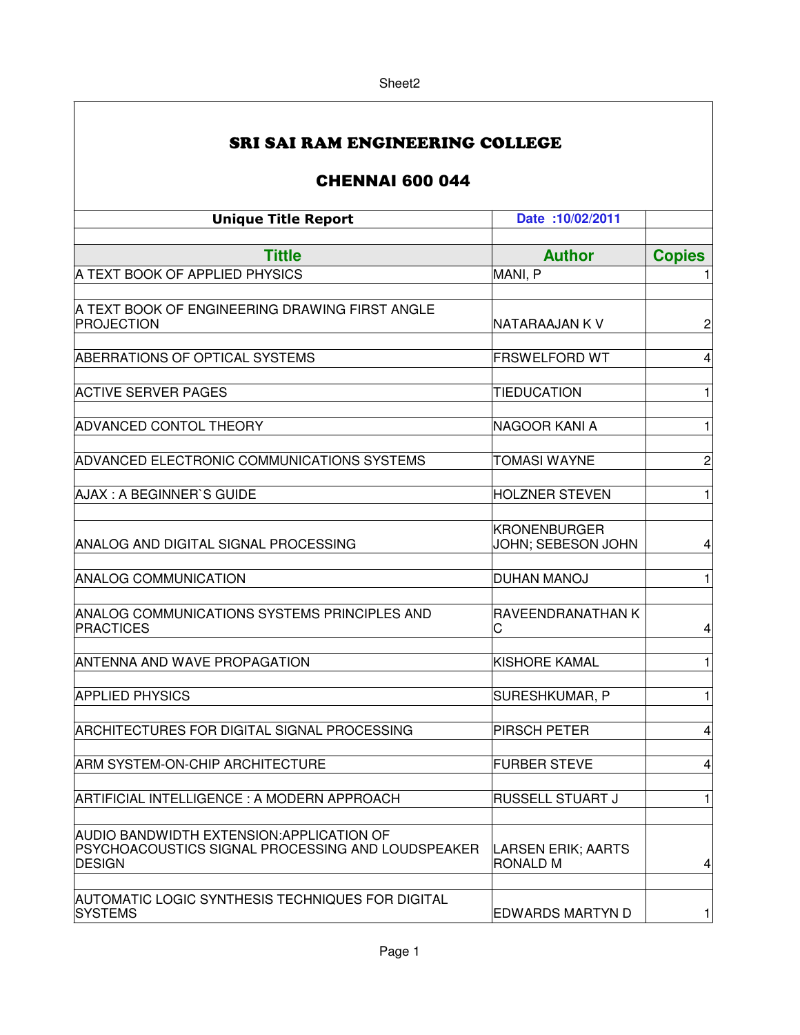| SRI SAI RAM ENGINEERING COLLEGE |
|---------------------------------|
|---------------------------------|

## CHENNAI 600 044

| <b>Unique Title Report</b>                                         | Date: 10/02/2011               |                |
|--------------------------------------------------------------------|--------------------------------|----------------|
| <b>Tittle</b>                                                      | <b>Author</b>                  | <b>Copies</b>  |
| A TEXT BOOK OF APPLIED PHYSICS                                     | MANI, P                        | 1              |
|                                                                    |                                |                |
| A TEXT BOOK OF ENGINEERING DRAWING FIRST ANGLE                     |                                |                |
| PROJECTION                                                         | NATARAAJAN K V                 | $\overline{c}$ |
| ABERRATIONS OF OPTICAL SYSTEMS                                     | <b>FRSWELFORD WT</b>           | 4              |
|                                                                    |                                |                |
| <b>ACTIVE SERVER PAGES</b>                                         | <b>TIEDUCATION</b>             | 1              |
| <b>ADVANCED CONTOL THEORY</b>                                      | NAGOOR KANI A                  | 1              |
|                                                                    |                                |                |
| ADVANCED ELECTRONIC COMMUNICATIONS SYSTEMS                         | <b>TOMASI WAYNE</b>            | $\overline{c}$ |
|                                                                    |                                |                |
| AJAX: A BEGINNER'S GUIDE                                           | <b>HOLZNER STEVEN</b>          | $\mathbf{1}$   |
|                                                                    | KRONENBURGER                   |                |
| ANALOG AND DIGITAL SIGNAL PROCESSING                               | JOHN; SEBESON JOHN             | 4              |
|                                                                    |                                |                |
| <b>ANALOG COMMUNICATION</b>                                        | <b>DUHAN MANOJ</b>             | $\mathbf{1}$   |
| ANALOG COMMUNICATIONS SYSTEMS PRINCIPLES AND                       | RAVEENDRANATHAN K              |                |
| <b>PRACTICES</b>                                                   | С                              | 4              |
| <b>ANTENNA AND WAVE PROPAGATION</b>                                | <b>KISHORE KAMAL</b>           | 1              |
|                                                                    |                                |                |
| <b>APPLIED PHYSICS</b>                                             | SURESHKUMAR, P                 | 1              |
|                                                                    |                                |                |
| ARCHITECTURES FOR DIGITAL SIGNAL PROCESSING                        | <b>PIRSCH PETER</b>            | 4              |
| <b>ARM SYSTEM-ON-CHIP ARCHITECTURE</b>                             | <b>FURBER STEVE</b>            | 4              |
|                                                                    |                                |                |
| ARTIFICIAL INTELLIGENCE : A MODERN APPROACH                        | <b>RUSSELL STUART J</b>        | $\mathbf{1}$   |
| AUDIO BANDWIDTH EXTENSION: APPLICATION OF                          |                                |                |
| PSYCHOACOUSTICS SIGNAL PROCESSING AND LOUDSPEAKER<br><b>DESIGN</b> | LARSEN ERIK; AARTS<br>RONALD M | 4              |
|                                                                    |                                |                |
| AUTOMATIC LOGIC SYNTHESIS TECHNIQUES FOR DIGITAL<br><b>SYSTEMS</b> | <b>EDWARDS MARTYN D</b>        | $\mathbf{1}$   |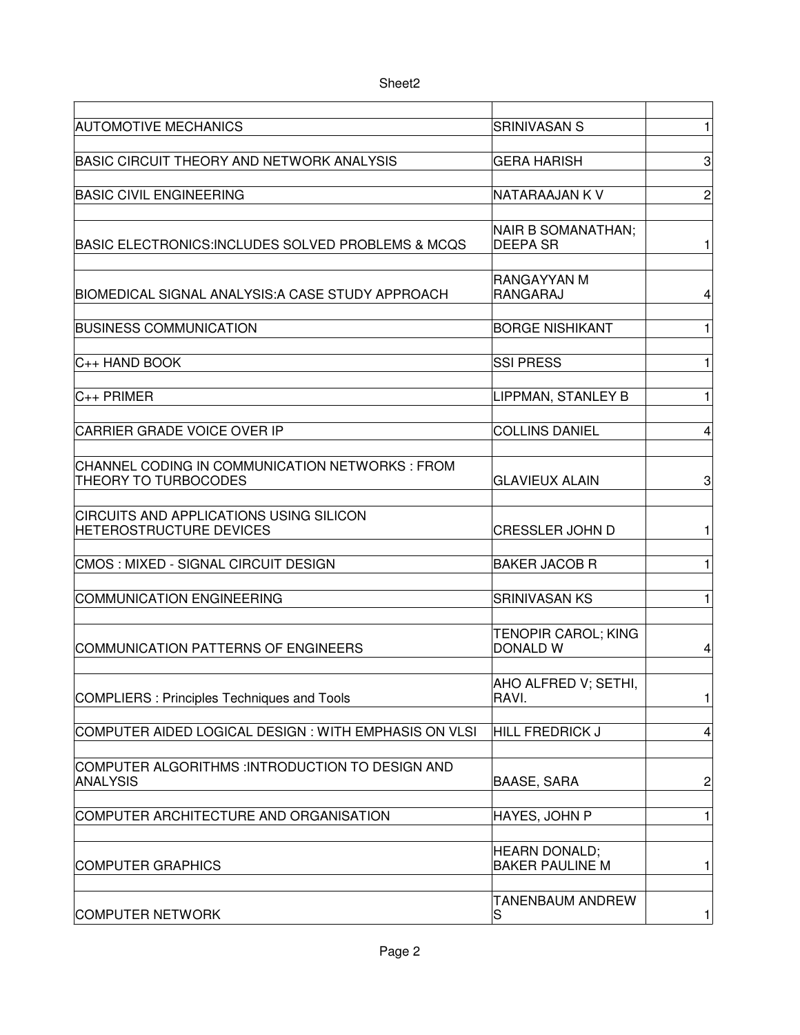| <b>AUTOMOTIVE MECHANICS</b>                                                      | <b>SRINIVASAN S</b>                            | 1              |
|----------------------------------------------------------------------------------|------------------------------------------------|----------------|
| <b>BASIC CIRCUIT THEORY AND NETWORK ANALYSIS</b>                                 | <b>GERA HARISH</b>                             | 3              |
| <b>BASIC CIVIL ENGINEERING</b>                                                   | NATARAAJAN K V                                 | $\overline{c}$ |
|                                                                                  |                                                |                |
| BASIC ELECTRONICS:INCLUDES SOLVED PROBLEMS & MCQS                                | NAIR B SOMANATHAN;<br><b>DEEPA SR</b>          | 1              |
| BIOMEDICAL SIGNAL ANALYSIS: A CASE STUDY APPROACH                                | RANGAYYAN M<br>RANGARAJ                        | 4              |
| <b>BUSINESS COMMUNICATION</b>                                                    | <b>BORGE NISHIKANT</b>                         | 1              |
| $ C_{++}$ HAND BOOK                                                              | <b>SSI PRESS</b>                               | 1              |
|                                                                                  |                                                |                |
| $C_{++}$ PRIMER                                                                  | LIPPMAN, STANLEY B                             | 1              |
| <b>CARRIER GRADE VOICE OVER IP</b>                                               | <b>COLLINS DANIEL</b>                          | 4              |
| CHANNEL CODING IN COMMUNICATION NETWORKS : FROM<br>THEORY TO TURBOCODES          | <b>GLAVIEUX ALAIN</b>                          | 3              |
| <b>CIRCUITS AND APPLICATIONS USING SILICON</b><br><b>HETEROSTRUCTURE DEVICES</b> | <b>CRESSLER JOHN D</b>                         | 1              |
| CMOS : MIXED - SIGNAL CIRCUIT DESIGN                                             | <b>BAKER JACOB R</b>                           | 1              |
| COMMUNICATION ENGINEERING                                                        | <b>SRINIVASAN KS</b>                           | 1              |
|                                                                                  |                                                |                |
| COMMUNICATION PATTERNS OF ENGINEERS                                              | <b>TENOPIR CAROL; KING</b><br><b>DONALD W</b>  | 4              |
|                                                                                  | AHO ALFRED V; SETHI,                           |                |
| COMPLIERS : Principles Techniques and Tools                                      | RAVI.                                          | 1              |
| COMPUTER AIDED LOGICAL DESIGN : WITH EMPHASIS ON VLSI                            | <b>HILL FREDRICK J</b>                         | 4              |
| COMPUTER ALGORITHMS : INTRODUCTION TO DESIGN AND<br><b>ANALYSIS</b>              | <b>BAASE, SARA</b>                             | $\overline{c}$ |
| COMPUTER ARCHITECTURE AND ORGANISATION                                           | HAYES, JOHN P                                  | 1              |
|                                                                                  |                                                |                |
| <b>COMPUTER GRAPHICS</b>                                                         | <b>HEARN DONALD;</b><br><b>BAKER PAULINE M</b> | 1              |
| <b>COMPUTER NETWORK</b>                                                          | TANENBAUM ANDREW<br>S                          | 1              |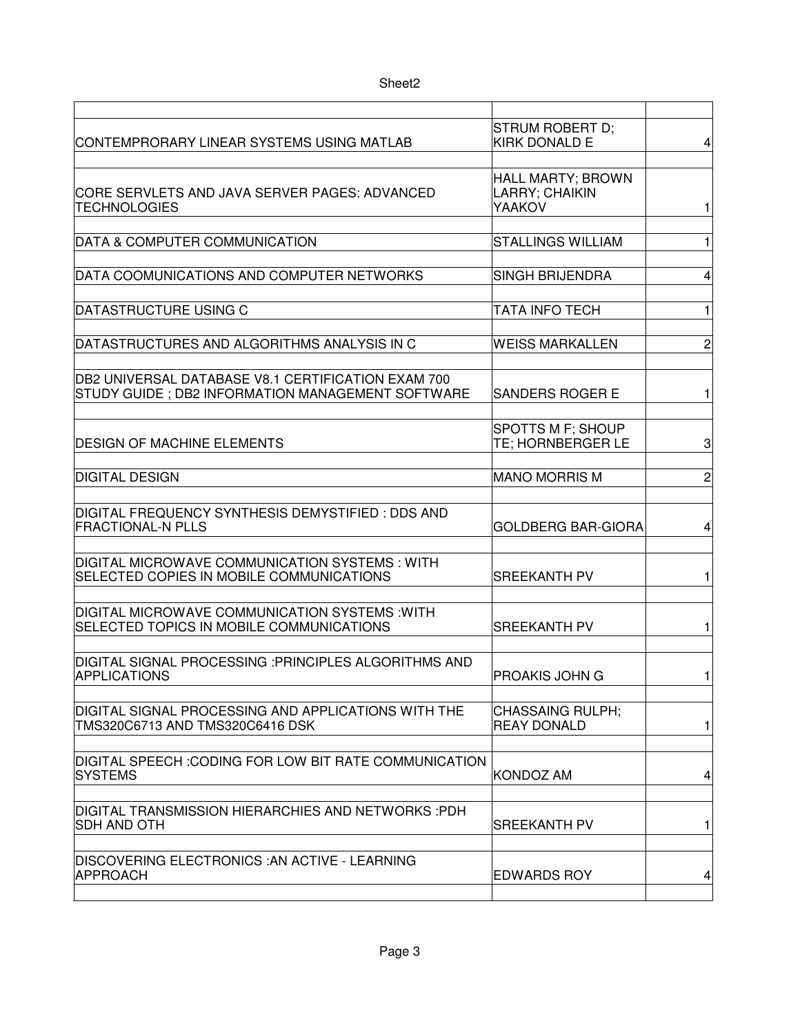| CONTEMPRORARY LINEAR SYSTEMS USING MATLAB                                                               | STRUM ROBERT D;<br><b>KIRK DONALD E</b>              | 4              |
|---------------------------------------------------------------------------------------------------------|------------------------------------------------------|----------------|
| CORE SERVLETS AND JAVA SERVER PAGES: ADVANCED<br>TECHNOLOGIES                                           | <b>HALL MARTY; BROWN</b><br>LARRY; CHAIKIN<br>YAAKOV | 1              |
| DATA & COMPUTER COMMUNICATION                                                                           | <b>STALLINGS WILLIAM</b>                             | $\mathbf{1}$   |
| DATA COOMUNICATIONS AND COMPUTER NETWORKS                                                               | <b>SINGH BRIJENDRA</b>                               | 4              |
| DATASTRUCTURE USING C                                                                                   | TATA INFO TECH                                       | 1              |
| DATASTRUCTURES AND ALGORITHMS ANALYSIS IN C                                                             | <b>WEISS MARKALLEN</b>                               | $\overline{c}$ |
| DB2 UNIVERSAL DATABASE V8.1 CERTIFICATION EXAM 700<br>STUDY GUIDE ; DB2 INFORMATION MANAGEMENT SOFTWARE | <b>SANDERS ROGER E</b>                               | 1              |
| DESIGN OF MACHINE ELEMENTS                                                                              | <b>SPOTTS M F; SHOUP</b><br>TE; HORNBERGER LE        | 3              |
| <b>DIGITAL DESIGN</b>                                                                                   | <b>MANO MORRIS M</b>                                 | $\overline{c}$ |
| DIGITAL FREQUENCY SYNTHESIS DEMYSTIFIED : DDS AND<br><b>FRACTIONAL-N PLLS</b>                           | <b>GOLDBERG BAR-GIORA</b>                            | 4              |
| DIGITAL MICROWAVE COMMUNICATION SYSTEMS : WITH<br>SELECTED COPIES IN MOBILE COMMUNICATIONS              | <b>SREEKANTH PV</b>                                  | 1              |
| DIGITAL MICROWAVE COMMUNICATION SYSTEMS : WITH<br>SELECTED TOPICS IN MOBILE COMMUNICATIONS              | <b>SREEKANTH PV</b>                                  | 1              |
| DIGITAL SIGNAL PROCESSING :PRINCIPLES ALGORITHMS AND<br><b>APPLICATIONS</b>                             | PROAKIS JOHN G                                       | 1              |
| DIGITAL SIGNAL PROCESSING AND APPLICATIONS WITH THE<br>TMS320C6713 AND TMS320C6416 DSK                  | <b>CHASSAING RULPH;</b><br><b>REAY DONALD</b>        | 1              |
| DIGITAL SPEECH :CODING FOR LOW BIT RATE COMMUNICATION<br><b>SYSTEMS</b>                                 | Kondoz am                                            | 4              |
| DIGITAL TRANSMISSION HIERARCHIES AND NETWORKS :PDH<br><b>SDH AND OTH</b>                                | <b>SREEKANTH PV</b>                                  | 1              |
| DISCOVERING ELECTRONICS :AN ACTIVE - LEARNING<br><b>APPROACH</b>                                        | <b>EDWARDS ROY</b>                                   | 4              |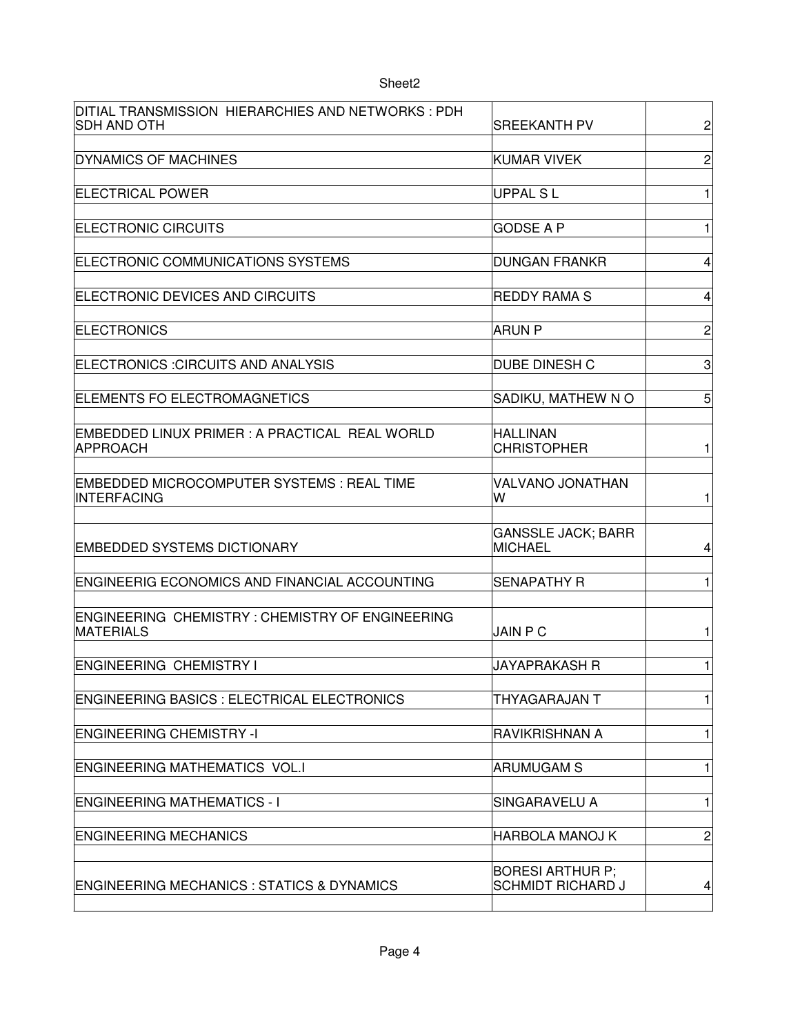| Sheet <sub>2</sub>                                                         |                                                     |                |
|----------------------------------------------------------------------------|-----------------------------------------------------|----------------|
| DITIAL TRANSMISSION HIERARCHIES AND NETWORKS: PDH<br><b>SDH AND OTH</b>    | <b>SREEKANTH PV</b>                                 | $\overline{c}$ |
| <b>DYNAMICS OF MACHINES</b>                                                | KUMAR VIVEK                                         | $\overline{c}$ |
| <b>ELECTRICAL POWER</b>                                                    | <b>UPPAL SL</b>                                     | 1              |
| <b>ELECTRONIC CIRCUITS</b>                                                 | <b>GODSE A P</b>                                    | 1              |
| ELECTRONIC COMMUNICATIONS SYSTEMS                                          | <b>DUNGAN FRANKR</b>                                | 4              |
| ELECTRONIC DEVICES AND CIRCUITS                                            | <b>REDDY RAMA S</b>                                 | 4              |
| <b>ELECTRONICS</b>                                                         | <b>ARUN P</b>                                       | $\overline{c}$ |
| ELECTRONICS : CIRCUITS AND ANALYSIS                                        | <b>DUBE DINESH C</b>                                | 3              |
| ELEMENTS FO ELECTROMAGNETICS                                               | SADIKU, MATHEW NO                                   | 5              |
| EMBEDDED LINUX PRIMER : A PRACTICAL REAL WORLD<br><b>APPROACH</b>          | <b>HALLINAN</b><br><b>CHRISTOPHER</b>               | 1              |
| EMBEDDED MICROCOMPUTER SYSTEMS: REAL TIME<br><b>INTERFACING</b>            | VALVANO JONATHAN<br>w                               | 1              |
| <b>EMBEDDED SYSTEMS DICTIONARY</b>                                         | <b>GANSSLE JACK; BARR</b><br><b>MICHAEL</b>         | 4              |
| <b>ENGINEERIG ECONOMICS AND FINANCIAL ACCOUNTING</b>                       | <b>SENAPATHY R</b>                                  | 1              |
| <b>ENGINEERING CHEMISTRY: CHEMISTRY OF ENGINEERING</b><br><b>MATERIALS</b> | <b>JAIN P C</b>                                     | 1              |
| <b>ENGINEERING CHEMISTRY I</b>                                             | <b>JAYAPRAKASH R</b>                                | 1              |
| <b>ENGINEERING BASICS: ELECTRICAL ELECTRONICS</b>                          | THYAGARAJAN T                                       | 1              |
| <b>ENGINEERING CHEMISTRY -I</b>                                            | RAVIKRISHNAN A                                      | 1              |
| <b>ENGINEERING MATHEMATICS VOL.I</b>                                       | <b>ARUMUGAM S</b>                                   | 1              |
| <b>ENGINEERING MATHEMATICS - I</b>                                         | SINGARAVELU A                                       | 1              |
| <b>ENGINEERING MECHANICS</b>                                               | <b>HARBOLA MANOJ K</b>                              | $\overline{c}$ |
| <b>ENGINEERING MECHANICS : STATICS &amp; DYNAMICS</b>                      | <b>BORESI ARTHUR P;</b><br><b>SCHMIDT RICHARD J</b> | 4              |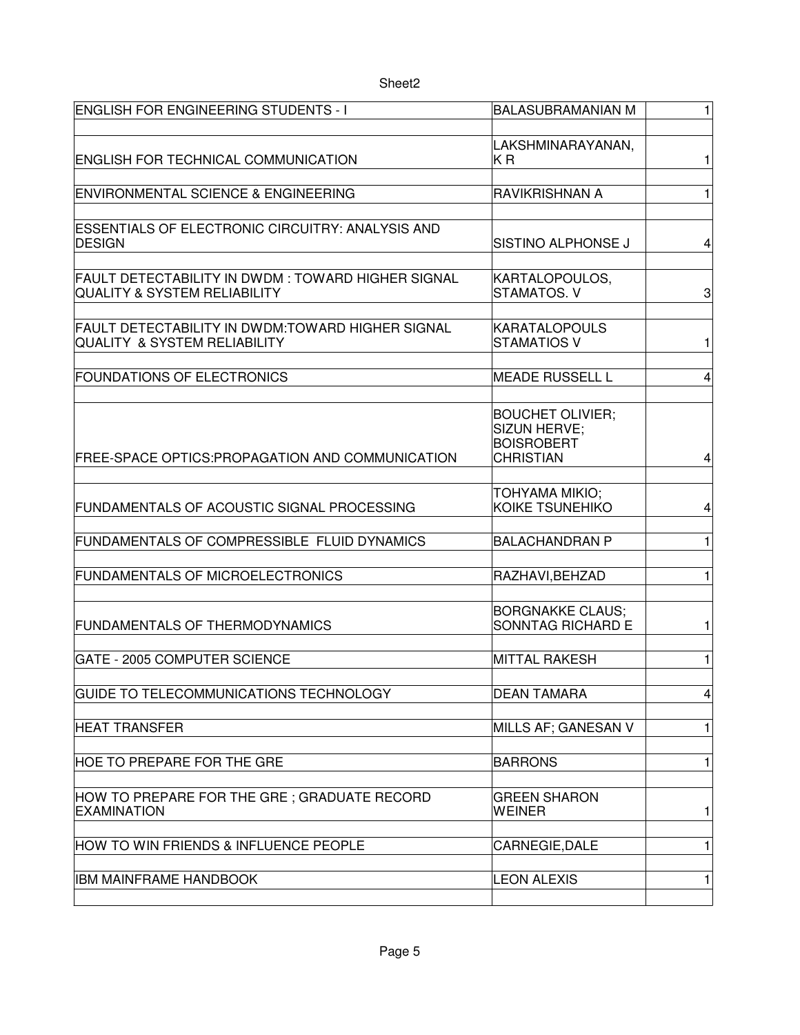| ENGLISH FOR ENGINEERING STUDENTS - I                                                          | <b>BALASUBRAMANIAN M</b>                                                         | $\mathbf{1}$            |
|-----------------------------------------------------------------------------------------------|----------------------------------------------------------------------------------|-------------------------|
| <b>ENGLISH FOR TECHNICAL COMMUNICATION</b>                                                    | LAKSHMINARAYANAN,<br>ΚR                                                          | 1                       |
| ENVIRONMENTAL SCIENCE & ENGINEERING                                                           | <b>RAVIKRISHNAN A</b>                                                            | $\mathbf{1}$            |
| <b>ESSENTIALS OF ELECTRONIC CIRCUITRY: ANALYSIS AND</b><br><b>DESIGN</b>                      | SISTINO ALPHONSE J                                                               | 4                       |
| FAULT DETECTABILITY IN DWDM : TOWARD HIGHER SIGNAL<br><b>QUALITY &amp; SYSTEM RELIABILITY</b> | KARTALOPOULOS,<br>STAMATOS. V                                                    | 3                       |
| FAULT DETECTABILITY IN DWDM:TOWARD HIGHER SIGNAL<br><b>QUALITY &amp; SYSTEM RELIABILITY</b>   | <b>KARATALOPOULS</b><br><b>STAMATIOS V</b>                                       | 1                       |
| <b>FOUNDATIONS OF ELECTRONICS</b>                                                             | <b>MEADE RUSSELL L</b>                                                           | $\overline{\mathbf{4}}$ |
| FREE-SPACE OPTICS: PROPAGATION AND COMMUNICATION                                              | <b>BOUCHET OLIVIER;</b><br>SIZUN HERVE;<br><b>BOISROBERT</b><br><b>CHRISTIAN</b> | 4                       |
| FUNDAMENTALS OF ACOUSTIC SIGNAL PROCESSING                                                    | TOHYAMA MIKIO;<br>KOIKE TSUNEHIKO                                                | 4                       |
| FUNDAMENTALS OF COMPRESSIBLE FLUID DYNAMICS                                                   | <b>BALACHANDRAN P</b>                                                            | 1                       |
| <b>FUNDAMENTALS OF MICROELECTRONICS</b>                                                       | RAZHAVI, BEHZAD                                                                  | 1                       |
| <b>FUNDAMENTALS OF THERMODYNAMICS</b>                                                         | <b>BORGNAKKE CLAUS;</b><br>SONNTAG RICHARD E                                     | 1                       |
| <b>GATE - 2005 COMPUTER SCIENCE</b>                                                           | <b>MITTAL RAKESH</b>                                                             | 1                       |
| GUIDE TO TELECOMMUNICATIONS TECHNOLOGY                                                        | <b>DEAN TAMARA</b>                                                               | $\vert 4 \vert$         |
| <b>HEAT TRANSFER</b>                                                                          | MILLS AF; GANESAN V                                                              | 1                       |
| <b>HOE TO PREPARE FOR THE GRE</b>                                                             | <b>BARRONS</b>                                                                   | 1                       |
| HOW TO PREPARE FOR THE GRE; GRADUATE RECORD<br><b>EXAMINATION</b>                             | <b>GREEN SHARON</b><br><b>WEINER</b>                                             | 1                       |
| HOW TO WIN FRIENDS & INFLUENCE PEOPLE                                                         | CARNEGIE, DALE                                                                   | 1                       |
| IBM MAINFRAME HANDBOOK                                                                        | <b>LEON ALEXIS</b>                                                               | 1                       |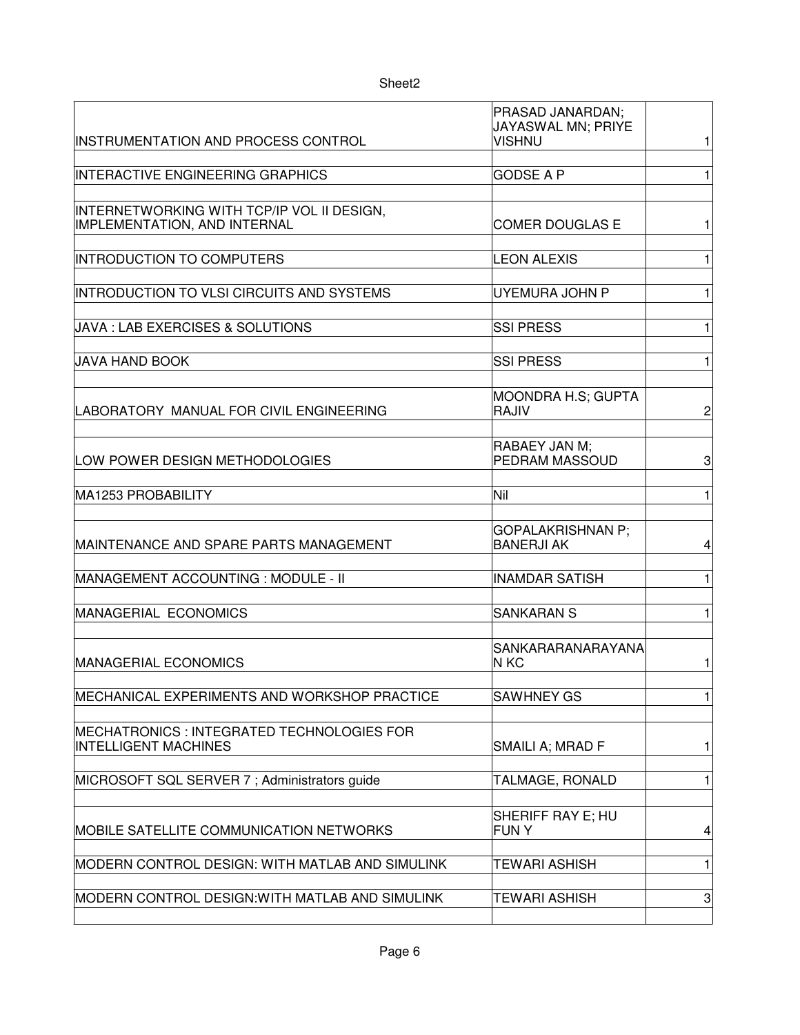| Sheet <sub>2</sub>                                                         |                                                         |                |
|----------------------------------------------------------------------------|---------------------------------------------------------|----------------|
| <b>INSTRUMENTATION AND PROCESS CONTROL</b>                                 | PRASAD JANARDAN;<br>JAYASWAL MN; PRIYE<br><b>VISHNU</b> | 1              |
| <b>INTERACTIVE ENGINEERING GRAPHICS</b>                                    | <b>GODSE A P</b>                                        | 1              |
| INTERNETWORKING WITH TCP/IP VOL II DESIGN,<br>IMPLEMENTATION, AND INTERNAL | COMER DOUGLAS E                                         | 1              |
| <b>INTRODUCTION TO COMPUTERS</b>                                           | <b>LEON ALEXIS</b>                                      | 1              |
| INTRODUCTION TO VLSI CIRCUITS AND SYSTEMS                                  | UYEMURA JOHN P                                          | $\mathbf{1}$   |
| <b>JAVA : LAB EXERCISES &amp; SOLUTIONS</b>                                | <b>SSI PRESS</b>                                        | 1              |
| JAVA HAND BOOK                                                             | <b>SSI PRESS</b>                                        | 1              |
| LABORATORY MANUAL FOR CIVIL ENGINEERING                                    | <b>MOONDRA H.S; GUPTA</b><br>RAJIV                      | $\overline{c}$ |
| LOW POWER DESIGN METHODOLOGIES                                             | RABAEY JAN M;<br>PEDRAM MASSOUD                         | 3              |
| MA1253 PROBABILITY                                                         | Nil                                                     | $\mathbf{1}$   |
| MAINTENANCE AND SPARE PARTS MANAGEMENT                                     | <b>GOPALAKRISHNAN P:</b><br><b>BANERJI AK</b>           | 4              |
| MANAGEMENT ACCOUNTING : MODULE - II                                        | <b>INAMDAR SATISH</b>                                   | 1              |
| MANAGERIAL ECONOMICS                                                       | <b>SANKARAN S</b>                                       | 1              |
| <b>MANAGERIAL ECONOMICS</b>                                                | SANKARARANARAYANA<br>$N$ KC                             | 1              |
| MECHANICAL EXPERIMENTS AND WORKSHOP PRACTICE                               | <b>SAWHNEY GS</b>                                       | 1              |
| MECHATRONICS : INTEGRATED TECHNOLOGIES FOR<br><b>INTELLIGENT MACHINES</b>  | SMAILI A; MRAD F                                        | 1              |
| MICROSOFT SQL SERVER 7; Administrators guide                               | TALMAGE, RONALD                                         | 1              |
| <b>MOBILE SATELLITE COMMUNICATION NETWORKS</b>                             | SHERIFF RAY E; HU<br><b>FUNY</b>                        | 4              |
| MODERN CONTROL DESIGN: WITH MATLAB AND SIMULINK                            | TEWARI ASHISH                                           | 1              |
| MODERN CONTROL DESIGN: WITH MATLAB AND SIMULINK                            | TEWARI ASHISH                                           | 3              |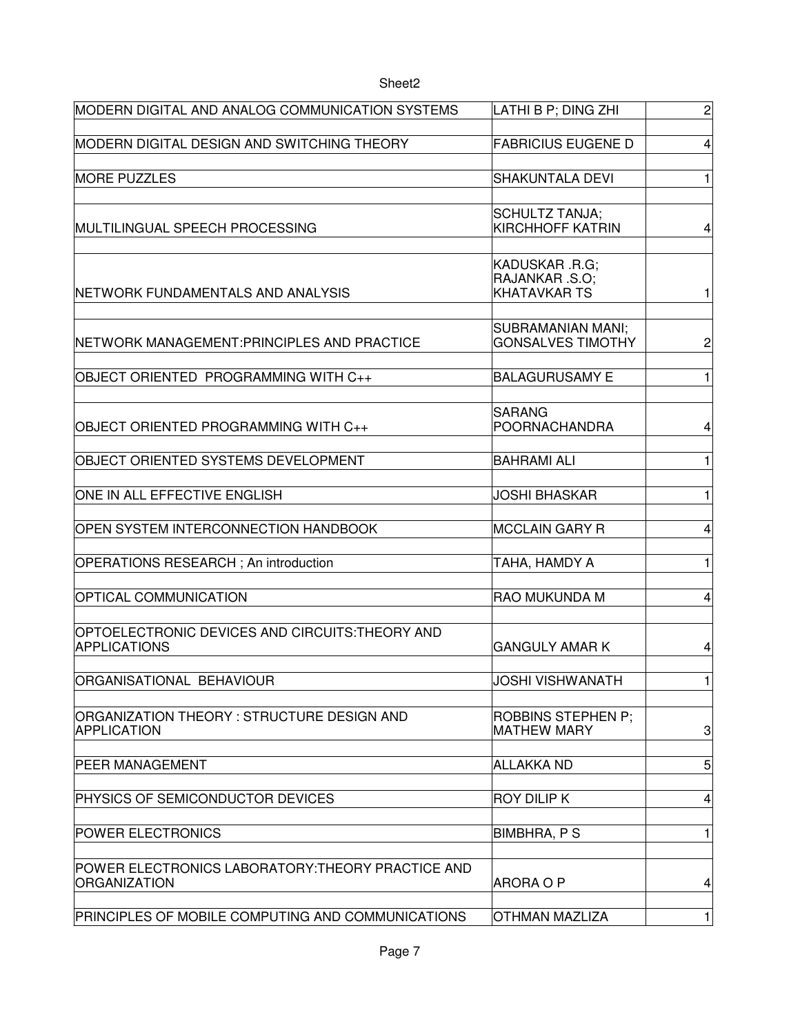## MODERN DIGITAL AND ANALOG COMMUNICATION SYSTEMS  $\qquad$   $\qquad$   $\qquad$   $\qquad$   $\qquad$   $\qquad$   $\qquad$   $\qquad$   $\qquad$   $\qquad$   $\qquad$   $\qquad$   $\qquad$   $\qquad$   $\qquad$   $\qquad$   $\qquad$   $\qquad$   $\qquad$   $\qquad$   $\qquad$   $\qquad$   $\qquad$   $\qquad$   $\qquad$   $\qquad$   $\qquad$   $\qquad$   $\qquad$ MODERN DIGITAL DESIGN AND SWITCHING THEORY FABRICIUS EUGENE D 4 MORE PUZZLES SHAKUNTALA DEVI 1 MULTILINGUAL SPEECH PROCESSING 4 NETWORK FUNDAMENTALS AND ANALYSIS 1 NETWORK MANAGEMENT:PRINCIPLES AND PRACTICE  $\qquad \qquad |$  GONSALVES TIMOTHY  $\qquad$  2 OBJECT ORIENTED PROGRAMMING WITH C++ BALAGURUSAMY E 1 OBJECT ORIENTED PROGRAMMING WITH C++ 4 OBJECT ORIENTED SYSTEMS DEVELOPMENT BAHRAMI ALI 1 ONE IN ALL EFFECTIVE ENGLISH JOSHI BHASKAR THE MET THE STATE OF THE MET THE STATE OF THE MET THE STATE OF THE STATE OF THE STATE OF THE STATE OF THE STATE OF THE STATE OF THE STATE OF THE STATE OF THE STATE OF THE STATE OF OPEN SYSTEM INTERCONNECTION HANDBOOK |MCCLAIN GARY R | 4 OPERATIONS RESEARCH ; An introduction TAHA, HAMDY A 1 OPTICAL COMMUNICATION RAO MUKUNDA M 4 GANGULY AMAR K | 4 ORGANISATIONAL BEHAVIOUR JOSHI VISHWANATH 1 3 PEER MANAGEMENT ALLAKKA ND 5 PHYSICS OF SEMICONDUCTOR DEVICES A ROY DILIP K A 4 4 POWER ELECTRONICS THE RESERVE THE RESERVE THAT IS A RESERVE TO A RESERVE THAT A RESERVE THAT IS A RESERVE TO A ARORA O P 4 SCHULTZ TANJA; KIRCHHOFF KATRIN KADUSKAR .R.G; RAJANKAR .S.O; KHATAVKAR TS SUBRAMANIAN MANI; GONSALVES TIMOTHY **SARANG** POORNACHANDRA OPTOELECTRONIC DEVICES AND CIRCUITS:THEORY AND APPLICATIONS ORGANIZATION THEORY : STRUCTURE DESIGN AND APPLICATION ROBBINS STEPHEN P; MATHEW MARY POWER ELECTRONICS LABORATORY:THEORY PRACTICE AND **ORGANIZATION**

Sheet2

PRINCIPLES OF MOBILE COMPUTING AND COMMUNICATIONS OTHMAN MAZLIZA 1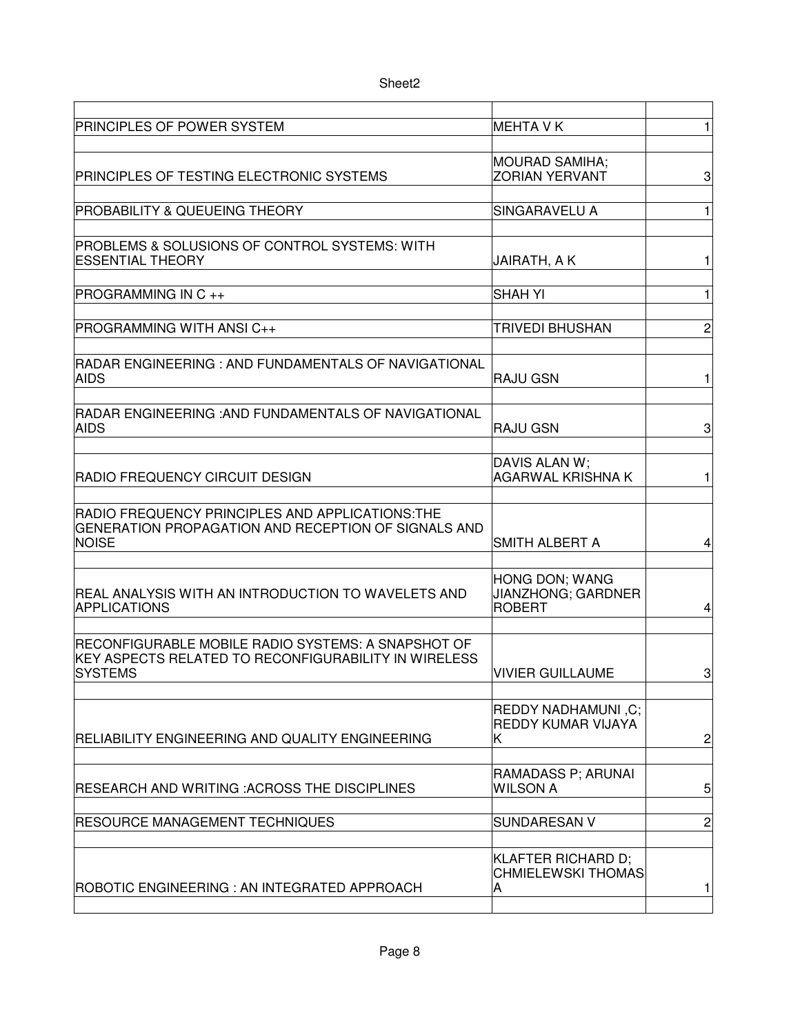| PRINCIPLES OF POWER SYSTEM                                                                                             | <b>MEHTA V K</b>                                             | 1                       |
|------------------------------------------------------------------------------------------------------------------------|--------------------------------------------------------------|-------------------------|
| PRINCIPLES OF TESTING ELECTRONIC SYSTEMS                                                                               | <b>MOURAD SAMIHA;</b><br><b>ZORIAN YERVANT</b>               | 3                       |
| <b>PROBABILITY &amp; QUEUEING THEORY</b>                                                                               | SINGARAVELU A                                                | $\mathbf{1}$            |
| <b>PROBLEMS &amp; SOLUSIONS OF CONTROL SYSTEMS: WITH</b><br><b>ESSENTIAL THEORY</b>                                    | JAIRATH, A K                                                 | $\mathbf{1}$            |
| <b>PROGRAMMING IN C++</b>                                                                                              | <b>SHAH YI</b>                                               | $\mathbf{1}$            |
| <b>PROGRAMMING WITH ANSI C++</b>                                                                                       | TRIVEDI BHUSHAN                                              | $\overline{c}$          |
| RADAR ENGINEERING : AND FUNDAMENTALS OF NAVIGATIONAL<br><b>AIDS</b>                                                    | <b>RAJU GSN</b>                                              | $\mathbf{1}$            |
| RADAR ENGINEERING : AND FUNDAMENTALS OF NAVIGATIONAL<br><b>AIDS</b>                                                    | <b>RAJU GSN</b>                                              | 3                       |
| RADIO FREQUENCY CIRCUIT DESIGN                                                                                         | DAVIS ALAN W;<br><b>AGARWAL KRISHNA K</b>                    | $\mathbf{1}$            |
| RADIO FREQUENCY PRINCIPLES AND APPLICATIONS:THE<br>GENERATION PROPAGATION AND RECEPTION OF SIGNALS AND<br><b>NOISE</b> | <b>SMITH ALBERT A</b>                                        | $\overline{\mathbf{4}}$ |
| REAL ANALYSIS WITH AN INTRODUCTION TO WAVELETS AND<br><b>APPLICATIONS</b>                                              | HONG DON; WANG<br><b>JIANZHONG; GARDNER</b><br><b>ROBERT</b> | 4                       |
| RECONFIGURABLE MOBILE RADIO SYSTEMS: A SNAPSHOT OF<br>KEY ASPECTS RELATED TO RECONFIGURABILITY IN WIRELESS<br> SYSTEMS | <b>VIVIER GUILLAUME</b>                                      | 3                       |
| RELIABILITY ENGINEERING AND QUALITY ENGINEERING                                                                        | <b>REDDY NADHAMUNI, C;</b><br><b>REDDY KUMAR VIJAYA</b><br>Κ | $\overline{c}$          |
| <b>RESEARCH AND WRITING :ACROSS THE DISCIPLINES</b>                                                                    | RAMADASS P; ARUNAI<br><b>WILSON A</b>                        | 5                       |
| <b>RESOURCE MANAGEMENT TECHNIQUES</b>                                                                                  | <b>SUNDARESAN V</b>                                          | $\overline{c}$          |
| ROBOTIC ENGINEERING : AN INTEGRATED APPROACH                                                                           | <b>KLAFTER RICHARD D;</b><br><b>CHMIELEWSKI THOMAS</b><br>A  | 1                       |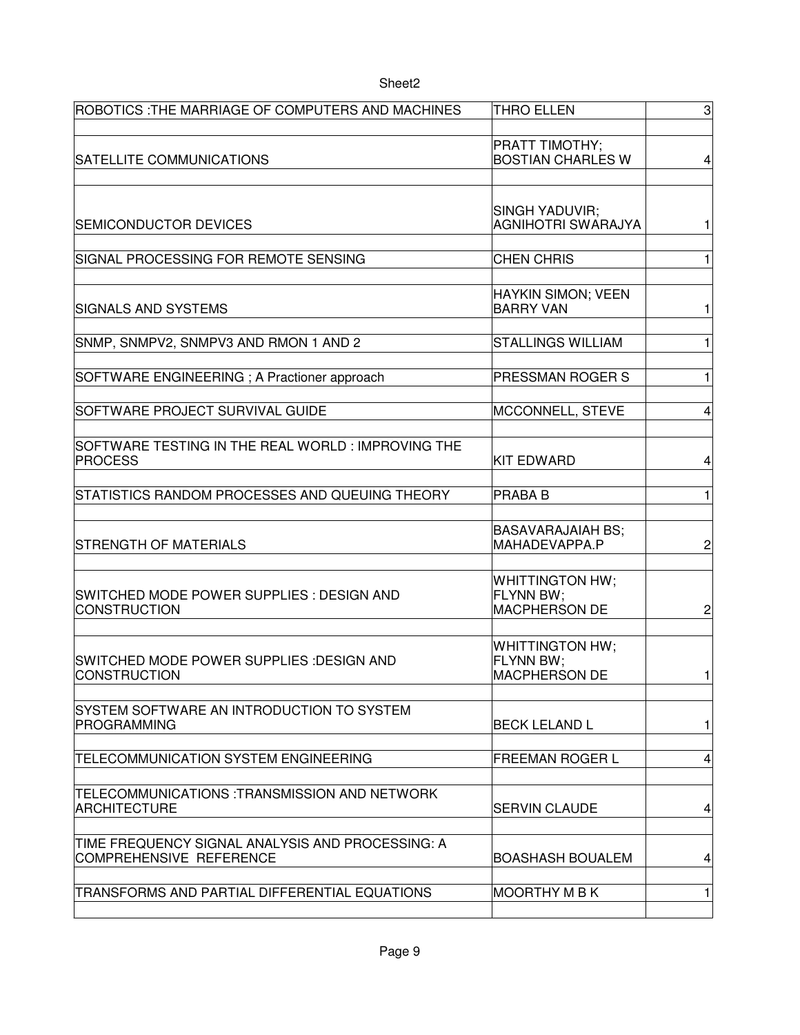| ROBOTICS : THE MARRIAGE OF COMPUTERS AND MACHINES                           | <b>THRO ELLEN</b>                                           | $\ensuremath{\mathsf{3}}$ |
|-----------------------------------------------------------------------------|-------------------------------------------------------------|---------------------------|
| SATELLITE COMMUNICATIONS                                                    | PRATT TIMOTHY;<br><b>BOSTIAN CHARLES W</b>                  | $\overline{4}$            |
| <b>SEMICONDUCTOR DEVICES</b>                                                | SINGH YADUVIR;<br><b>AGNIHOTRI SWARAJYA</b>                 | 1                         |
| SIGNAL PROCESSING FOR REMOTE SENSING                                        | <b>CHEN CHRIS</b>                                           | $\mathbf{1}$              |
| <b>SIGNALS AND SYSTEMS</b>                                                  | HAYKIN SIMON; VEEN<br><b>BARRY VAN</b>                      | 1                         |
| SNMP, SNMPV2, SNMPV3 AND RMON 1 AND 2                                       | <b>STALLINGS WILLIAM</b>                                    | $\mathbf{1}$              |
| SOFTWARE ENGINEERING; A Practioner approach                                 | PRESSMAN ROGER S                                            | $\mathbf{1}$              |
| SOFTWARE PROJECT SURVIVAL GUIDE                                             | MCCONNELL, STEVE                                            | 4                         |
| SOFTWARE TESTING IN THE REAL WORLD: IMPROVING THE<br>PROCESS                | <b>KIT EDWARD</b>                                           | 4                         |
| STATISTICS RANDOM PROCESSES AND QUEUING THEORY                              | <b>PRABA B</b>                                              | $\mathbf{1}$              |
| <b>STRENGTH OF MATERIALS</b>                                                | <b>BASAVARAJAIAH BS;</b><br>MAHADEVAPPA.P                   | 2                         |
| SWITCHED MODE POWER SUPPLIES : DESIGN AND<br><b>CONSTRUCTION</b>            | <b>WHITTINGTON HW;</b><br>FLYNN BW;<br><b>MACPHERSON DE</b> | $\overline{c}$            |
| SWITCHED MODE POWER SUPPLIES :DESIGN AND<br>CONSTRUCTION                    | <b>WHITTINGTON HW;</b><br>FLYNN BW;<br><b>MACPHERSON DE</b> | 1                         |
| SYSTEM SOFTWARE AN INTRODUCTION TO SYSTEM<br><b>PROGRAMMING</b>             | <b>BECK LELAND L</b>                                        | 1                         |
| <b>TELECOMMUNICATION SYSTEM ENGINEERING</b>                                 | <b>FREEMAN ROGER L</b>                                      | 4                         |
| TELECOMMUNICATIONS :TRANSMISSION AND NETWORK<br><b>ARCHITECTURE</b>         | <b>SERVIN CLAUDE</b>                                        | 4                         |
| TIME FREQUENCY SIGNAL ANALYSIS AND PROCESSING: A<br>COMPREHENSIVE REFERENCE | <b>BOASHASH BOUALEM</b>                                     | 4                         |
| TRANSFORMS AND PARTIAL DIFFERENTIAL EQUATIONS                               | <b>MOORTHY M B K</b>                                        | 1                         |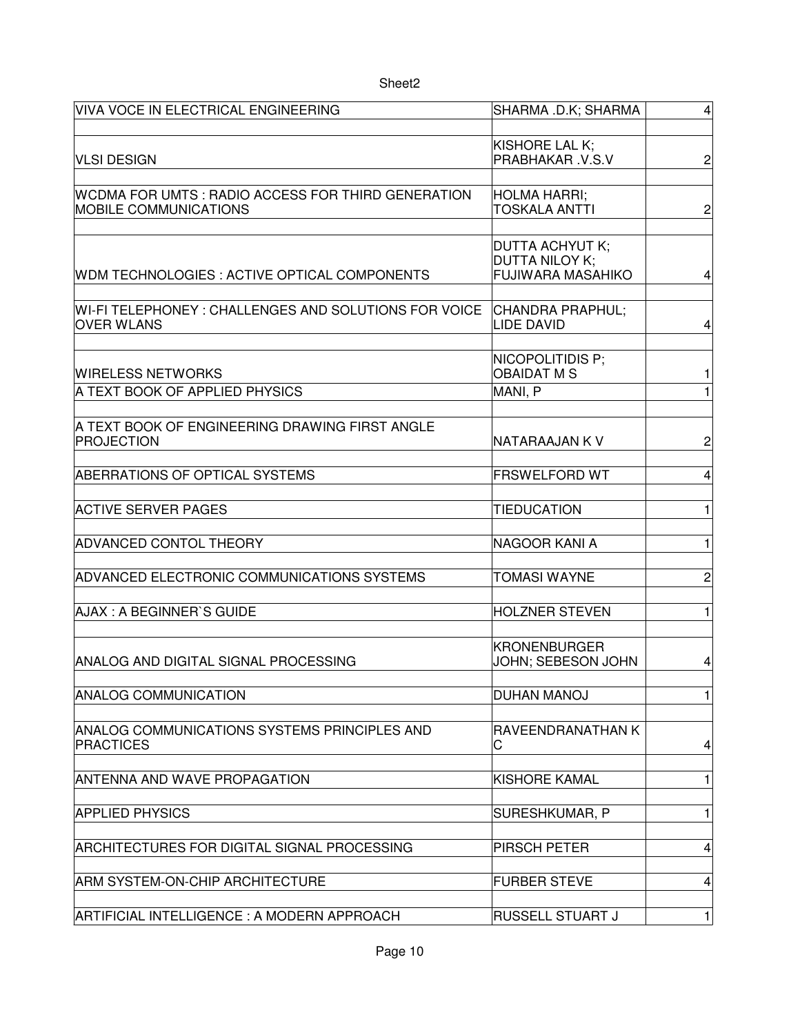| VIVA VOCE IN ELECTRICAL ENGINEERING                                               | SHARMA .D.K; SHARMA                                                         | $\overline{4}$          |
|-----------------------------------------------------------------------------------|-----------------------------------------------------------------------------|-------------------------|
|                                                                                   |                                                                             |                         |
| <b>VLSI DESIGN</b>                                                                | KISHORE LAL K;<br>PRABHAKAR .V.S.V                                          | $\overline{c}$          |
|                                                                                   |                                                                             |                         |
| WCDMA FOR UMTS: RADIO ACCESS FOR THIRD GENERATION<br><b>MOBILE COMMUNICATIONS</b> | <b>HOLMA HARRI;</b><br>TOSKALA ANTTI                                        | $\overline{c}$          |
| WDM TECHNOLOGIES : ACTIVE OPTICAL COMPONENTS                                      | <b>DUTTA ACHYUT K;</b><br><b>DUTTA NILOY K:</b><br><b>FUJIWARA MASAHIKO</b> | 4                       |
| WI-FI TELEPHONEY : CHALLENGES AND SOLUTIONS FOR VOICE<br><b>OVER WLANS</b>        | CHANDRA PRAPHUL;<br>LIDE DAVID                                              | 4                       |
| WIRELESS NETWORKS                                                                 | NICOPOLITIDIS P;<br><b>OBAIDAT M S</b>                                      | 1                       |
| A TEXT BOOK OF APPLIED PHYSICS                                                    | MANI, P                                                                     | $\mathbf{1}$            |
|                                                                                   |                                                                             |                         |
| A TEXT BOOK OF ENGINEERING DRAWING FIRST ANGLE<br><b>PROJECTION</b>               | NATARAAJAN K V                                                              | 2                       |
| ABERRATIONS OF OPTICAL SYSTEMS                                                    | <b>FRSWELFORD WT</b>                                                        | 4                       |
| <b>ACTIVE SERVER PAGES</b>                                                        | <b>TIEDUCATION</b>                                                          | $\mathbf{1}$            |
| <b>ADVANCED CONTOL THEORY</b>                                                     | NAGOOR KANI A                                                               | 1                       |
| ADVANCED ELECTRONIC COMMUNICATIONS SYSTEMS                                        | <b>TOMASI WAYNE</b>                                                         | $\overline{\mathbf{c}}$ |
| AJAX: A BEGINNER'S GUIDE                                                          | <b>HOLZNER STEVEN</b>                                                       | $\mathbf{1}$            |
| ANALOG AND DIGITAL SIGNAL PROCESSING                                              | <b>KRONENBURGER</b><br>JOHN; SEBESON JOHN                                   | 4                       |
| <b>ANALOG COMMUNICATION</b>                                                       | <b>DUHAN MANOJ</b>                                                          | $\mathbf{1}$            |
| ANALOG COMMUNICATIONS SYSTEMS PRINCIPLES AND<br><b>PRACTICES</b>                  | RAVEENDRANATHAN K<br>С                                                      | 4                       |
| <b>ANTENNA AND WAVE PROPAGATION</b>                                               | <b>KISHORE KAMAL</b>                                                        | $\mathbf{1}$            |
| <b>APPLIED PHYSICS</b>                                                            | SURESHKUMAR, P                                                              | 1                       |
| ARCHITECTURES FOR DIGITAL SIGNAL PROCESSING                                       | PIRSCH PETER                                                                | 4                       |
| ARM SYSTEM-ON-CHIP ARCHITECTURE                                                   | <b>FURBER STEVE</b>                                                         | 4                       |
| ARTIFICIAL INTELLIGENCE : A MODERN APPROACH                                       | <b>RUSSELL STUART J</b>                                                     | $\mathbf{1}$            |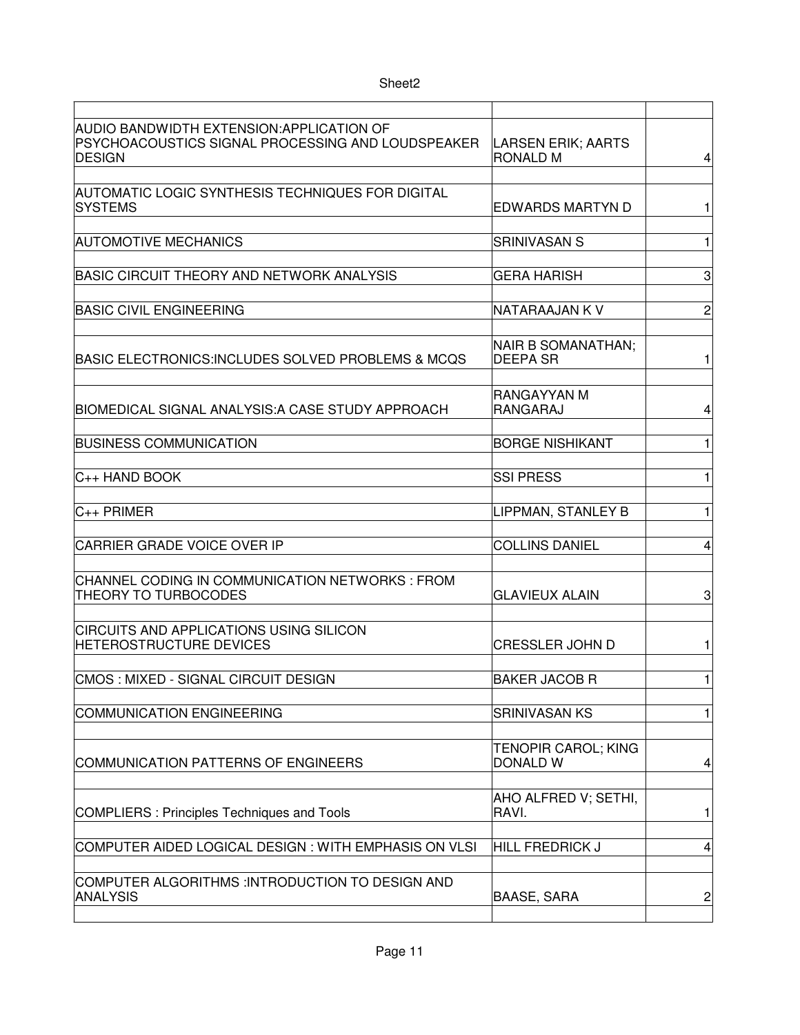| AUDIO BANDWIDTH EXTENSION: APPLICATION OF<br>PSYCHOACOUSTICS SIGNAL PROCESSING AND LOUDSPEAKER<br>DESIGN | LARSEN ERIK; AARTS<br><b>RONALD M</b>         | 4              |
|----------------------------------------------------------------------------------------------------------|-----------------------------------------------|----------------|
| AUTOMATIC LOGIC SYNTHESIS TECHNIQUES FOR DIGITAL<br><b>SYSTEMS</b>                                       | <b>EDWARDS MARTYN D</b>                       | 1              |
| <b>AUTOMOTIVE MECHANICS</b>                                                                              | <b>SRINIVASAN S</b>                           | 1              |
| <b>BASIC CIRCUIT THEORY AND NETWORK ANALYSIS</b>                                                         | <b>GERA HARISH</b>                            | 3              |
| <b>BASIC CIVIL ENGINEERING</b>                                                                           | NATARAAJAN K V                                | $\overline{c}$ |
| BASIC ELECTRONICS:INCLUDES SOLVED PROBLEMS & MCQS                                                        | NAIR B SOMANATHAN;<br><b>DEEPA SR</b>         | 1              |
| BIOMEDICAL SIGNAL ANALYSIS: A CASE STUDY APPROACH                                                        | RANGAYYAN M<br><b>RANGARAJ</b>                | 4              |
| <b>BUSINESS COMMUNICATION</b>                                                                            | <b>BORGE NISHIKANT</b>                        | $\mathbf{1}$   |
| C++ HAND BOOK                                                                                            | <b>SSI PRESS</b>                              | $\mathbf{1}$   |
| $C_{++}$ PRIMER                                                                                          | LIPPMAN, STANLEY B                            | 1              |
| <b>CARRIER GRADE VOICE OVER IP</b>                                                                       | <b>COLLINS DANIEL</b>                         | 4              |
| CHANNEL CODING IN COMMUNICATION NETWORKS : FROM<br><b>THEORY TO TURBOCODES</b>                           | <b>GLAVIEUX ALAIN</b>                         | 3              |
| <b>CIRCUITS AND APPLICATIONS USING SILICON</b><br><b>HETEROSTRUCTURE DEVICES</b>                         | <b>CRESSLER JOHN D</b>                        | 1              |
| CMOS: MIXED - SIGNAL CIRCUIT DESIGN                                                                      | <b>BAKER JACOB R</b>                          | $\mathbf{1}$   |
| COMMUNICATION ENGINEERING                                                                                | <b>SRINIVASAN KS</b>                          | 1              |
| COMMUNICATION PATTERNS OF ENGINEERS                                                                      | <b>TENOPIR CAROL; KING</b><br><b>DONALD W</b> | 4              |
| <b>COMPLIERS: Principles Techniques and Tools</b>                                                        | AHO ALFRED V; SETHI,<br>RAVI.                 | 1              |
| COMPUTER AIDED LOGICAL DESIGN : WITH EMPHASIS ON VLSI                                                    | <b>HILL FREDRICK J</b>                        | 4              |
| COMPUTER ALGORITHMS :INTRODUCTION TO DESIGN AND<br><b>ANALYSIS</b>                                       | <b>BAASE, SARA</b>                            | 2              |
|                                                                                                          |                                               |                |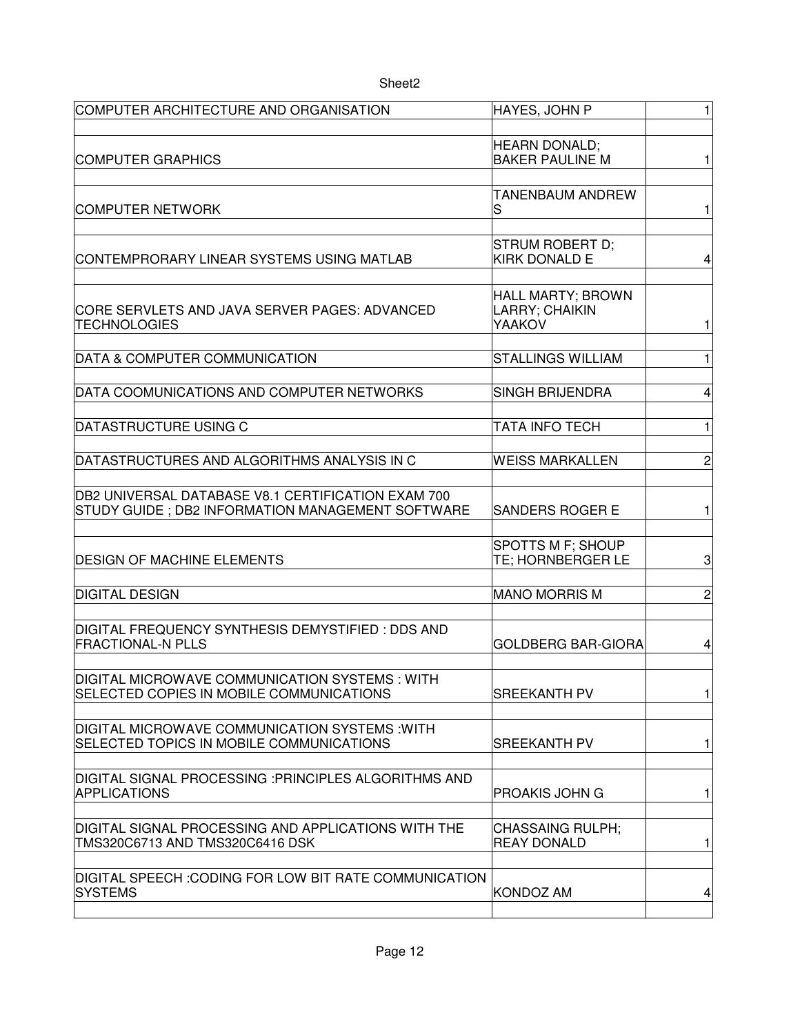| COMPUTER ARCHITECTURE AND ORGANISATION                                                     | HAYES, JOHN P                                  | $\mathbf{1}$   |
|--------------------------------------------------------------------------------------------|------------------------------------------------|----------------|
|                                                                                            |                                                |                |
| <b>COMPUTER GRAPHICS</b>                                                                   | <b>HEARN DONALD;</b><br><b>BAKER PAULINE M</b> | 1              |
|                                                                                            |                                                |                |
|                                                                                            | TANENBAUM ANDREW                               |                |
| COMPUTER NETWORK                                                                           | S                                              | 1              |
|                                                                                            |                                                |                |
| CONTEMPRORARY LINEAR SYSTEMS USING MATLAB                                                  | <b>STRUM ROBERT D:</b><br><b>KIRK DONALD E</b> | 4              |
|                                                                                            |                                                |                |
|                                                                                            | HALL MARTY; BROWN                              |                |
| CORE SERVLETS AND JAVA SERVER PAGES: ADVANCED<br><b>TECHNOLOGIES</b>                       | LARRY; CHAIKIN<br>YAAKOV                       | $\mathbf{1}$   |
|                                                                                            |                                                |                |
| DATA & COMPUTER COMMUNICATION                                                              | <b>STALLINGS WILLIAM</b>                       | $\mathbf{1}$   |
|                                                                                            |                                                |                |
| DATA COOMUNICATIONS AND COMPUTER NETWORKS                                                  | <b>SINGH BRIJENDRA</b>                         | 4              |
| DATASTRUCTURE USING C                                                                      | TATA INFO TECH                                 | $\mathbf{1}$   |
|                                                                                            |                                                |                |
| DATASTRUCTURES AND ALGORITHMS ANALYSIS IN C                                                | <b>WEISS MARKALLEN</b>                         | $\overline{c}$ |
|                                                                                            |                                                |                |
| DB2 UNIVERSAL DATABASE V8.1 CERTIFICATION EXAM 700                                         |                                                |                |
| STUDY GUIDE; DB2 INFORMATION MANAGEMENT SOFTWARE                                           | <b>SANDERS ROGER E</b>                         | 1              |
|                                                                                            | SPOTTS M F; SHOUP                              |                |
| <b>DESIGN OF MACHINE ELEMENTS</b>                                                          | TE; HORNBERGER LE                              | 3              |
|                                                                                            |                                                |                |
| <b>DIGITAL DESIGN</b>                                                                      | <b>MANO MORRIS M</b>                           | $\overline{c}$ |
| DIGITAL FREQUENCY SYNTHESIS DEMYSTIFIED : DDS AND                                          |                                                |                |
| <b>FRACTIONAL-N PLLS</b>                                                                   | <b>GOLDBERG BAR-GIORA</b>                      | 4              |
|                                                                                            |                                                |                |
| DIGITAL MICROWAVE COMMUNICATION SYSTEMS : WITH<br>SELECTED COPIES IN MOBILE COMMUNICATIONS | <b>SREEKANTH PV</b>                            | $\mathbf{1}$   |
|                                                                                            |                                                |                |
| DIGITAL MICROWAVE COMMUNICATION SYSTEMS : WITH                                             |                                                |                |
| SELECTED TOPICS IN MOBILE COMMUNICATIONS                                                   | <b>SREEKANTH PV</b>                            | 1              |
|                                                                                            |                                                |                |
| DIGITAL SIGNAL PROCESSING :PRINCIPLES ALGORITHMS AND<br><b>APPLICATIONS</b>                | PROAKIS JOHN G                                 | $\mathbf{1}$   |
|                                                                                            |                                                |                |
| DIGITAL SIGNAL PROCESSING AND APPLICATIONS WITH THE                                        | <b>CHASSAING RULPH;</b>                        |                |
| TMS320C6713 AND TMS320C6416 DSK                                                            | <b>REAY DONALD</b>                             | 1              |
| DIGITAL SPEECH :CODING FOR LOW BIT RATE COMMUNICATION                                      |                                                |                |
| <b>SYSTEMS</b>                                                                             | <b>KONDOZ AM</b>                               | 4              |
|                                                                                            |                                                |                |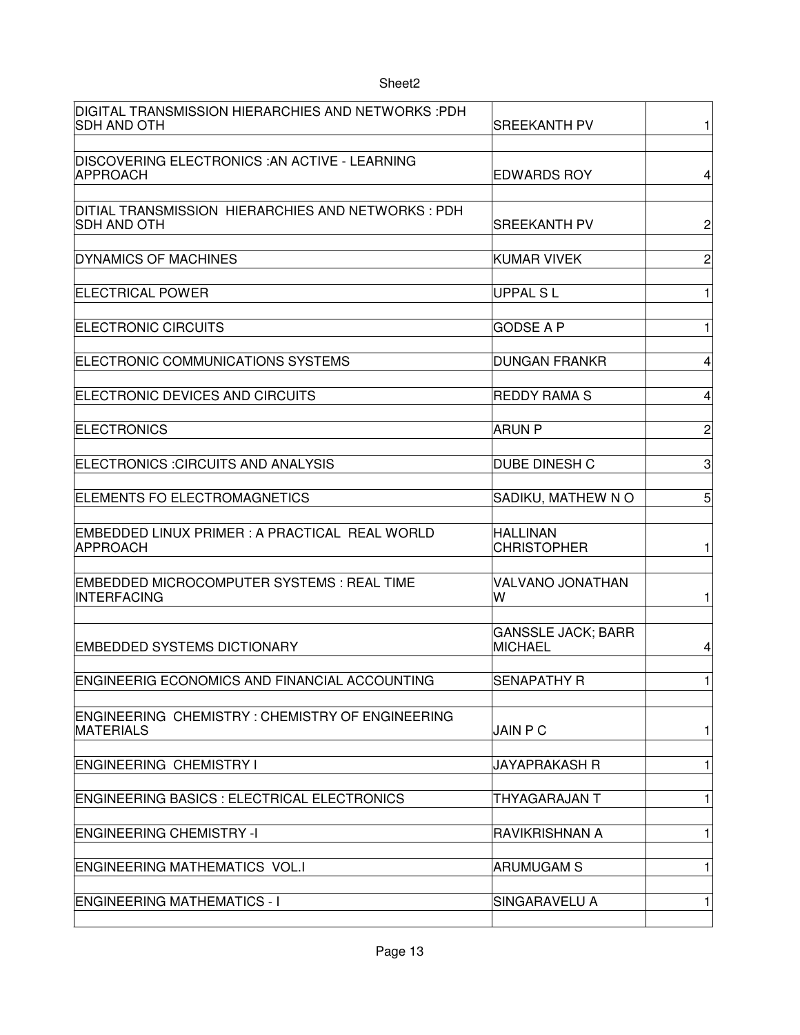| DIGITAL TRANSMISSION HIERARCHIES AND NETWORKS :PDH<br><b>SDH AND OTH</b>   | <b>SREEKANTH PV</b>                         | $\mathbf{1}$            |
|----------------------------------------------------------------------------|---------------------------------------------|-------------------------|
|                                                                            |                                             |                         |
| DISCOVERING ELECTRONICS :AN ACTIVE - LEARNING<br>APPROACH                  | <b>EDWARDS ROY</b>                          | $\overline{\mathbf{4}}$ |
| DITIAL TRANSMISSION HIERARCHIES AND NETWORKS : PDH                         |                                             |                         |
| <b>SDH AND OTH</b>                                                         | SREEKANTH PV                                | $\overline{c}$          |
| <b>DYNAMICS OF MACHINES</b>                                                | <b>KUMAR VIVEK</b>                          | $\overline{c}$          |
| <b>ELECTRICAL POWER</b>                                                    | <b>UPPAL SL</b>                             | $\mathbf{1}$            |
| <b>ELECTRONIC CIRCUITS</b>                                                 | <b>GODSE A P</b>                            | $\mathbf{1}$            |
| ELECTRONIC COMMUNICATIONS SYSTEMS                                          | <b>DUNGAN FRANKR</b>                        | $\overline{4}$          |
| ELECTRONIC DEVICES AND CIRCUITS                                            | <b>REDDY RAMA S</b>                         | 4                       |
|                                                                            |                                             |                         |
| <b>ELECTRONICS</b>                                                         | <b>ARUN P</b>                               | $\overline{c}$          |
| ELECTRONICS : CIRCUITS AND ANALYSIS                                        | DUBE DINESH C                               | 3                       |
| ELEMENTS FO ELECTROMAGNETICS                                               | SADIKU, MATHEW NO                           | 5                       |
| EMBEDDED LINUX PRIMER : A PRACTICAL REAL WORLD<br>APPROACH                 | <b>HALLINAN</b><br><b>CHRISTOPHER</b>       | $\mathbf{1}$            |
|                                                                            |                                             |                         |
| EMBEDDED MICROCOMPUTER SYSTEMS : REAL TIME<br><b>INTERFACING</b>           | VALVANO JONATHAN<br>W                       | $\mathbf{1}$            |
|                                                                            |                                             |                         |
| <b>EMBEDDED SYSTEMS DICTIONARY</b>                                         | <b>GANSSLE JACK; BARR</b><br><b>MICHAEL</b> | 4                       |
| <b>ENGINEERIG ECONOMICS AND FINANCIAL ACCOUNTING</b>                       | <b>SENAPATHY R</b>                          | $\mathbf{1}$            |
|                                                                            |                                             |                         |
| <b>ENGINEERING CHEMISTRY: CHEMISTRY OF ENGINEERING</b><br><b>MATERIALS</b> | <b>JAIN P C</b>                             | $\mathbf{1}$            |
| <b>ENGINEERING CHEMISTRY I</b>                                             | JAYAPRAKASH R                               | 1                       |
| <b>ENGINEERING BASICS : ELECTRICAL ELECTRONICS</b>                         | THYAGARAJAN T                               | 1                       |
| <b>ENGINEERING CHEMISTRY -I</b>                                            | <b>RAVIKRISHNAN A</b>                       | $\mathbf{1}$            |
|                                                                            |                                             |                         |
| <b>ENGINEERING MATHEMATICS VOL.I</b>                                       | <b>ARUMUGAM S</b>                           | $\mathbf{1}$            |
| <b>ENGINEERING MATHEMATICS - I</b>                                         | SINGARAVELU A                               | 1                       |
|                                                                            |                                             |                         |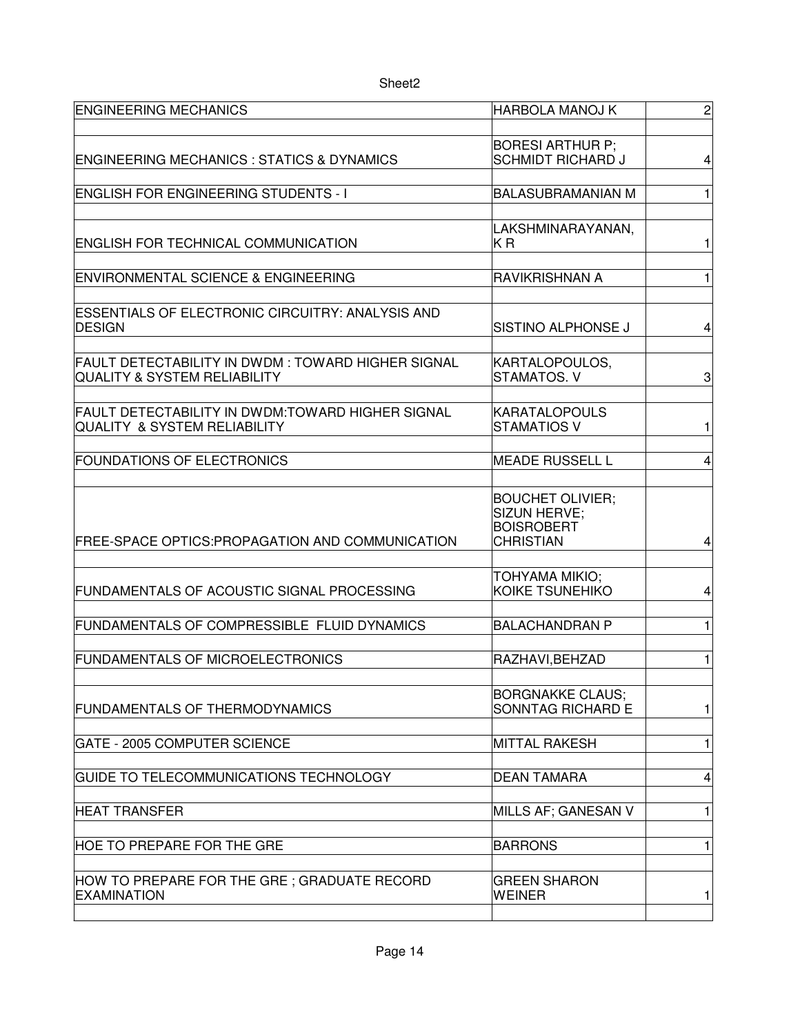| <b>ENGINEERING MECHANICS</b>                                                                 | <b>HARBOLA MANOJ K</b>                              | $\overline{c}$ |
|----------------------------------------------------------------------------------------------|-----------------------------------------------------|----------------|
|                                                                                              |                                                     |                |
|                                                                                              | <b>BORESI ARTHUR P;</b>                             |                |
| <b>ENGINEERING MECHANICS : STATICS &amp; DYNAMICS</b>                                        | <b>SCHMIDT RICHARD J</b>                            | 4              |
| <b>ENGLISH FOR ENGINEERING STUDENTS - I</b>                                                  | <b>BALASUBRAMANIAN M</b>                            | $\mathbf{1}$   |
|                                                                                              |                                                     |                |
|                                                                                              | LAKSHMINARAYANAN,                                   |                |
| ENGLISH FOR TECHNICAL COMMUNICATION                                                          | КR                                                  | 1              |
|                                                                                              |                                                     |                |
| ENVIRONMENTAL SCIENCE & ENGINEERING                                                          | RAVIKRISHNAN A                                      | $\mathbf{1}$   |
|                                                                                              |                                                     |                |
| ESSENTIALS OF ELECTRONIC CIRCUITRY: ANALYSIS AND                                             |                                                     |                |
| <b>DESIGN</b>                                                                                | SISTINO ALPHONSE J                                  | 4              |
|                                                                                              |                                                     |                |
| FAULT DETECTABILITY IN DWDM: TOWARD HIGHER SIGNAL<br><b>QUALITY &amp; SYSTEM RELIABILITY</b> | KARTALOPOULOS,<br>STAMATOS. V                       | 3              |
|                                                                                              |                                                     |                |
| FAULT DETECTABILITY IN DWDM:TOWARD HIGHER SIGNAL                                             | <b>KARATALOPOULS</b>                                |                |
| <b>QUALITY &amp; SYSTEM RELIABILITY</b>                                                      | <b>STAMATIOS V</b>                                  | $\mathbf{1}$   |
|                                                                                              |                                                     |                |
| <b>FOUNDATIONS OF ELECTRONICS</b>                                                            | <b>MEADE RUSSELL L</b>                              | 4              |
|                                                                                              |                                                     |                |
|                                                                                              | <b>BOUCHET OLIVIER;</b>                             |                |
|                                                                                              | <b>SIZUN HERVE:</b>                                 |                |
| <b>FREE-SPACE OPTICS:PROPAGATION AND COMMUNICATION</b>                                       | <b>BOISROBERT</b><br><b>CHRISTIAN</b>               | 4              |
|                                                                                              |                                                     |                |
|                                                                                              | TOHYAMA MIKIO;                                      |                |
| FUNDAMENTALS OF ACOUSTIC SIGNAL PROCESSING                                                   | KOIKE TSUNEHIKO                                     | 4              |
|                                                                                              |                                                     |                |
| FUNDAMENTALS OF COMPRESSIBLE FLUID DYNAMICS                                                  | <b>BALACHANDRAN P</b>                               | $\mathbf{1}$   |
|                                                                                              |                                                     |                |
| <b>FUNDAMENTALS OF MICROELECTRONICS</b>                                                      | RAZHAVI, BEHZAD                                     | 1              |
|                                                                                              |                                                     |                |
| <b>FUNDAMENTALS OF THERMODYNAMICS</b>                                                        | <b>BORGNAKKE CLAUS;</b><br><b>SONNTAG RICHARD E</b> | $\mathbf{1}$   |
|                                                                                              |                                                     |                |
| <b>GATE - 2005 COMPUTER SCIENCE</b>                                                          | <b>MITTAL RAKESH</b>                                | 1              |
|                                                                                              |                                                     |                |
| GUIDE TO TELECOMMUNICATIONS TECHNOLOGY                                                       | <b>DEAN TAMARA</b>                                  | 4              |
|                                                                                              |                                                     |                |
| HEAT TRANSFER                                                                                | MILLS AF; GANESAN V                                 | 1              |
|                                                                                              |                                                     |                |
| HOE TO PREPARE FOR THE GRE                                                                   | <b>BARRONS</b>                                      | 1              |
|                                                                                              |                                                     |                |
| HOW TO PREPARE FOR THE GRE ; GRADUATE RECORD<br><b>EXAMINATION</b>                           | <b>GREEN SHARON</b><br>WEINER                       | 1              |
|                                                                                              |                                                     |                |
|                                                                                              |                                                     |                |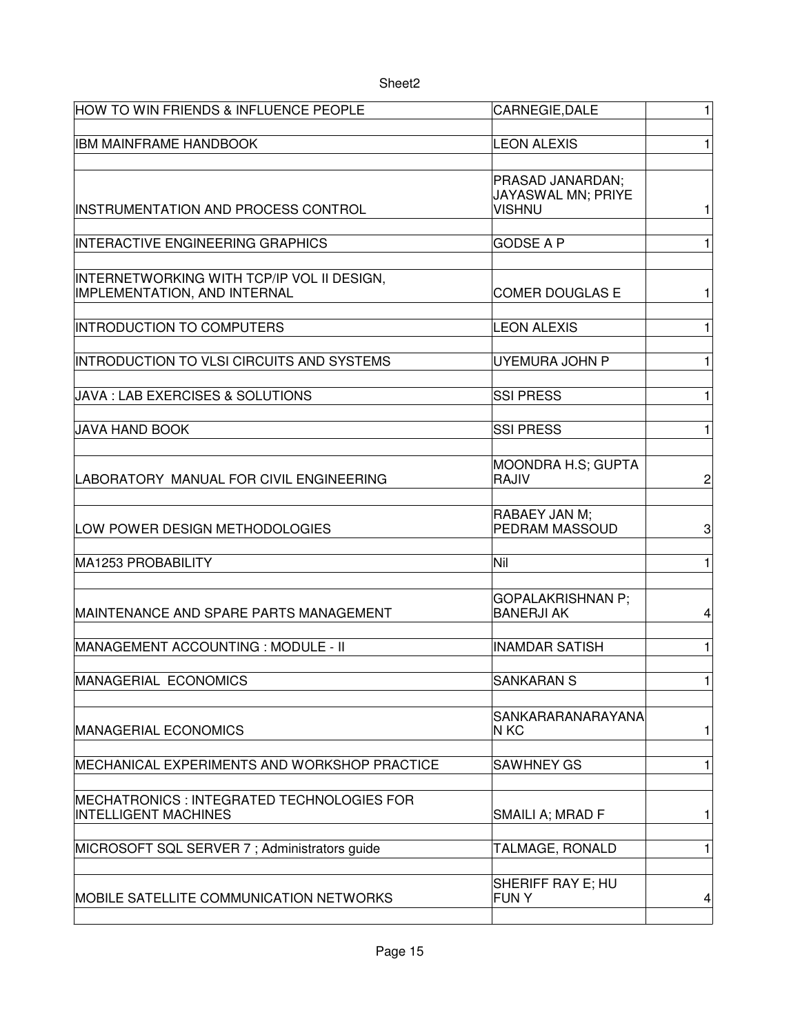| HOW TO WIN FRIENDS & INFLUENCE PEOPLE                                      | CARNEGIE, DALE                                          | $\mathbf{1}$ |
|----------------------------------------------------------------------------|---------------------------------------------------------|--------------|
| <b>IBM MAINFRAME HANDBOOK</b>                                              | <b>LEON ALEXIS</b>                                      | 1            |
| INSTRUMENTATION AND PROCESS CONTROL                                        | PRASAD JANARDAN;<br>JAYASWAL MN; PRIYE<br><b>VISHNU</b> | 1            |
| <b>INTERACTIVE ENGINEERING GRAPHICS</b>                                    | <b>GODSE A P</b>                                        | 1            |
| INTERNETWORKING WITH TCP/IP VOL II DESIGN,<br>IMPLEMENTATION, AND INTERNAL | <b>COMER DOUGLAS E</b>                                  | 1            |
| <b>INTRODUCTION TO COMPUTERS</b>                                           | <b>LEON ALEXIS</b>                                      | 1            |
| INTRODUCTION TO VLSI CIRCUITS AND SYSTEMS                                  | UYEMURA JOHN P                                          | 1            |
| JAVA : LAB EXERCISES & SOLUTIONS                                           | <b>SSI PRESS</b>                                        | 1            |
| <b>JAVA HAND BOOK</b>                                                      | <b>SSI PRESS</b>                                        | 1            |
| LABORATORY MANUAL FOR CIVIL ENGINEERING                                    | <b>MOONDRA H.S; GUPTA</b><br>RAJIV                      | 2            |
| LOW POWER DESIGN METHODOLOGIES                                             | RABAEY JAN M;<br>PEDRAM MASSOUD                         | 3            |
| MA1253 PROBABILITY                                                         | Nil                                                     | 1            |
| MAINTENANCE AND SPARE PARTS MANAGEMENT                                     | <b>GOPALAKRISHNAN P:</b><br><b>BANERJI AK</b>           | 4            |
| MANAGEMENT ACCOUNTING : MODULE - II                                        | <b>INAMDAR SATISH</b>                                   | 1            |
| MANAGERIAL ECONOMICS                                                       | <b>SANKARAN S</b>                                       | 1            |
| <b>MANAGERIAL ECONOMICS</b>                                                | SANKARARANARAYANA<br>N KC                               | 1            |
| MECHANICAL EXPERIMENTS AND WORKSHOP PRACTICE                               | <b>SAWHNEY GS</b>                                       | 1            |
| MECHATRONICS : INTEGRATED TECHNOLOGIES FOR<br><b>INTELLIGENT MACHINES</b>  | SMAILI A; MRAD F                                        | 1            |
| MICROSOFT SQL SERVER 7; Administrators guide                               | TALMAGE, RONALD                                         | 1            |
| MOBILE SATELLITE COMMUNICATION NETWORKS                                    | SHERIFF RAY E; HU<br><b>FUNY</b>                        | 4            |